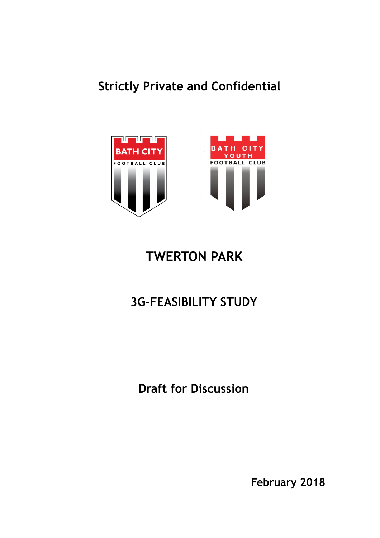## **Strictly Private and Confidential**



# **TWERTON PARK**

## **3G-FEASIBILITY STUDY**

**Draft for Discussion**

**February 2018**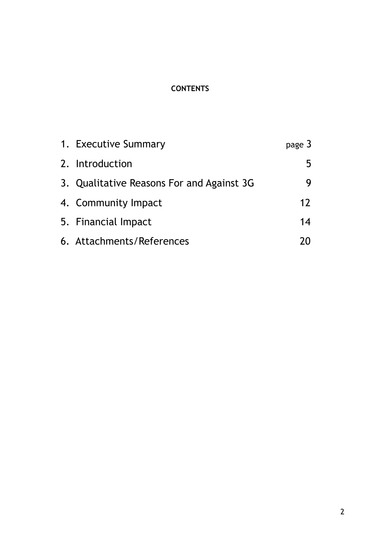## **CONTENTS**

| 1. Executive Summary                      | page 3 |
|-------------------------------------------|--------|
| 2. Introduction                           | 5      |
| 3. Qualitative Reasons For and Against 3G | y      |
| 4. Community Impact                       | 12     |
| 5. Financial Impact                       | 14     |
| 6. Attachments/References                 |        |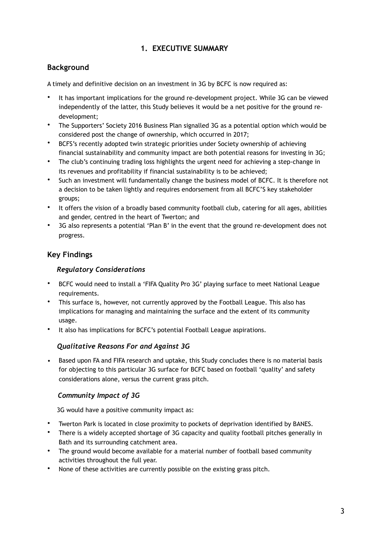## **1. EXECUTIVE SUMMARY**

## **Background**

A timely and definitive decision on an investment in 3G by BCFC is now required as:

- It has important implications for the ground re-development project. While 3G can be viewed independently of the latter, this Study believes it would be a net positive for the ground redevelopment;
- The Supporters' Society 2016 Business Plan signalled 3G as a potential option which would be considered post the change of ownership, which occurred in 2017;
- BCFS's recently adopted twin strategic priorities under Society ownership of achieving financial sustainability and community impact are both potential reasons for investing in 3G;
- The club's continuing trading loss highlights the urgent need for achieving a step-change in its revenues and profitability if financial sustainability is to be achieved;
- Such an investment will fundamentally change the business model of BCFC. It is therefore not a decision to be taken lightly and requires endorsement from all BCFC'S key stakeholder groups;
- It offers the vision of a broadly based community football club, catering for all ages, abilities and gender, centred in the heart of Twerton; and
- 3G also represents a potential 'Plan B' in the event that the ground re-development does not progress.

## **Key Findings**

#### *Regulatory Considerations*

- BCFC would need to install a 'FIFA Quality Pro 3G' playing surface to meet National League requirements.
- This surface is, however, not currently approved by the Football League. This also has implications for managing and maintaining the surface and the extent of its community usage.
- It also has implications for BCFC's potential Football League aspirations.

#### *Qualitative Reasons For and Against 3G*

• Based upon FA and FIFA research and uptake, this Study concludes there is no material basis for objecting to this particular 3G surface for BCFC based on football 'quality' and safety considerations alone, versus the current grass pitch.

#### *Community Impact of 3G*

3G would have a positive community impact as:

- Twerton Park is located in close proximity to pockets of deprivation identified by BANES.
- There is a widely accepted shortage of 3G capacity and quality football pitches generally in Bath and its surrounding catchment area.
- The ground would become available for a material number of football based community activities throughout the full year.
- None of these activities are currently possible on the existing grass pitch.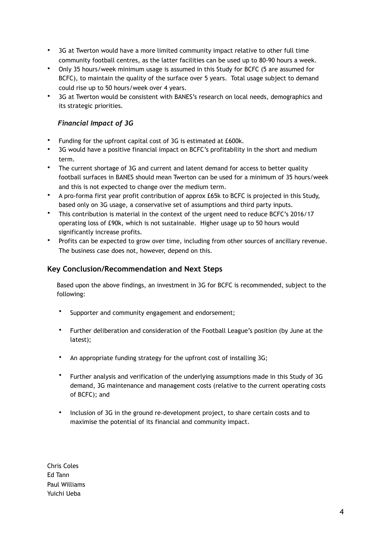- 3G at Twerton would have a more limited community impact relative to other full time community football centres, as the latter facilities can be used up to 80-90 hours a week.
- Only 35 hours/week minimum usage is assumed in this Study for BCFC (5 are assumed for BCFC), to maintain the quality of the surface over 5 years. Total usage subject to demand could rise up to 50 hours/week over 4 years.
- 3G at Twerton would be consistent with BANES's research on local needs, demographics and its strategic priorities.

#### *Financial Impact of 3G*

- Funding for the upfront capital cost of 3G is estimated at £600k.
- 3G would have a positive financial impact on BCFC's profitability in the short and medium term.
- The current shortage of 3G and current and latent demand for access to better quality football surfaces in BANES should mean Twerton can be used for a minimum of 35 hours/week and this is not expected to change over the medium term.
- A pro-forma first year profit contribution of approx £65k to BCFC is projected in this Study, based only on 3G usage, a conservative set of assumptions and third party inputs.
- This contribution is material in the context of the urgent need to reduce BCFC's 2016/17 operating loss of £90k, which is not sustainable. Higher usage up to 50 hours would significantly increase profits.
- Profits can be expected to grow over time, including from other sources of ancillary revenue. The business case does not, however, depend on this.

#### **Key Conclusion/Recommendation and Next Steps**

 Based upon the above findings, an investment in 3G for BCFC is recommended, subject to the following:

- Supporter and community engagement and endorsement;
- Further deliberation and consideration of the Football League's position (by June at the latest);
- An appropriate funding strategy for the upfront cost of installing 3G;
- Further analysis and verification of the underlying assumptions made in this Study of 3G demand, 3G maintenance and management costs (relative to the current operating costs of BCFC); and
- Inclusion of 3G in the ground re-development project, to share certain costs and to maximise the potential of its financial and community impact.

Chris Coles Ed Tann Paul Williams Yuichi Ueba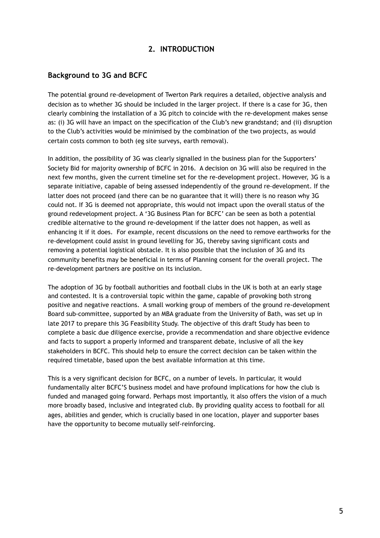#### **2. INTRODUCTION**

#### **Background to 3G and BCFC**

The potential ground re-development of Twerton Park requires a detailed, objective analysis and decision as to whether 3G should be included in the larger project. If there is a case for 3G, then clearly combining the installation of a 3G pitch to coincide with the re-development makes sense as: (i) 3G will have an impact on the specification of the Club's new grandstand; and (ii) disruption to the Club's activities would be minimised by the combination of the two projects, as would certain costs common to both (eg site surveys, earth removal).

In addition, the possibility of 3G was clearly signalled in the business plan for the Supporters' Society Bid for majority ownership of BCFC in 2016. A decision on 3G will also be required in the next few months, given the current timeline set for the re-development project. However, 3G is a separate initiative, capable of being assessed independently of the ground re-development. If the latter does not proceed (and there can be no guarantee that it will) there is no reason why 3G could not. If 3G is deemed not appropriate, this would not impact upon the overall status of the ground redevelopment project. A '3G Business Plan for BCFC' can be seen as both a potential credible alternative to the ground re-development if the latter does not happen, as well as enhancing it if it does. For example, recent discussions on the need to remove earthworks for the re-development could assist in ground levelling for 3G, thereby saving significant costs and removing a potential logistical obstacle. It is also possible that the inclusion of 3G and its community benefits may be beneficial in terms of Planning consent for the overall project. The re-development partners are positive on its inclusion.

The adoption of 3G by football authorities and football clubs in the UK is both at an early stage and contested. It is a controversial topic within the game, capable of provoking both strong positive and negative reactions. A small working group of members of the ground re-development Board sub-committee, supported by an MBA graduate from the University of Bath, was set up in late 2017 to prepare this 3G Feasibility Study. The objective of this draft Study has been to complete a basic due diligence exercise, provide a recommendation and share objective evidence and facts to support a properly informed and transparent debate, inclusive of all the key stakeholders in BCFC. This should help to ensure the correct decision can be taken within the required timetable, based upon the best available information at this time.

This is a very significant decision for BCFC, on a number of levels. In particular, it would fundamentally alter BCFC'S business model and have profound implications for how the club is funded and managed going forward. Perhaps most importantly, it also offers the vision of a much more broadly based, inclusive and integrated club. By providing quality access to football for all ages, abilities and gender, which is crucially based in one location, player and supporter bases have the opportunity to become mutually self-reinforcing.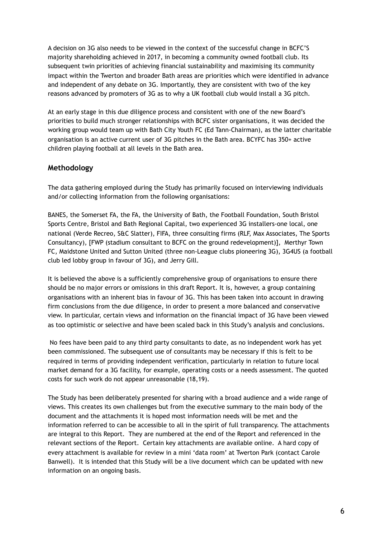A decision on 3G also needs to be viewed in the context of the successful change in BCFC'S majority shareholding achieved in 2017, in becoming a community owned football club. Its subsequent twin priorities of achieving financial sustainability and maximising its community impact within the Twerton and broader Bath areas are priorities which were identified in advance and independent of any debate on 3G. Importantly, they are consistent with two of the key reasons advanced by promoters of 3G as to why a UK football club would install a 3G pitch.

At an early stage in this due diligence process and consistent with one of the new Board's priorities to build much stronger relationships with BCFC sister organisations, it was decided the working group would team up with Bath City Youth FC (Ed Tann-Chairman), as the latter charitable organisation is an active current user of 3G pitches in the Bath area. BCYFC has 350+ active children playing football at all levels in the Bath area.

#### **Methodology**

The data gathering employed during the Study has primarily focused on interviewing individuals and/or collecting information from the following organisations:

BANES, the Somerset FA, the FA, the University of Bath, the Football Foundation, South Bristol Sports Centre, Bristol and Bath Regional Capital, two experienced 3G installers-one local, one national (Verde Recreo, S&C Slatter), FIFA, three consulting firms (RLF, Max Associates, The Sports Consultancy), [FWP (stadium consultant to BCFC on the ground redevelopment)], Merthyr Town FC, Maidstone United and Sutton United (three non-League clubs pioneering 3G), 3G4US (a football club led lobby group in favour of 3G), and Jerry Gill.

It is believed the above is a sufficiently comprehensive group of organisations to ensure there should be no major errors or omissions in this draft Report. It is, however, a group containing organisations with an inherent bias in favour of 3G. This has been taken into account in drawing firm conclusions from the due diligence, in order to present a more balanced and conservative view. In particular, certain views and information on the financial impact of 3G have been viewed as too optimistic or selective and have been scaled back in this Study's analysis and conclusions.

 No fees have been paid to any third party consultants to date, as no independent work has yet been commissioned. The subsequent use of consultants may be necessary if this is felt to be required in terms of providing independent verification, particularly in relation to future local market demand for a 3G facility, for example, operating costs or a needs assessment. The quoted costs for such work do not appear unreasonable (18,19).

The Study has been deliberately presented for sharing with a broad audience and a wide range of views. This creates its own challenges but from the executive summary to the main body of the document and the attachments it is hoped most information needs will be met and the information referred to can be accessible to all in the spirit of full transparency. The attachments are integral to this Report. They are numbered at the end of the Report and referenced in the relevant sections of the Report. Certain key attachments are available online. A hard copy of every attachment is available for review in a mini 'data room' at Twerton Park (contact Carole Banwell). It is intended that this Study will be a live document which can be updated with new information on an ongoing basis.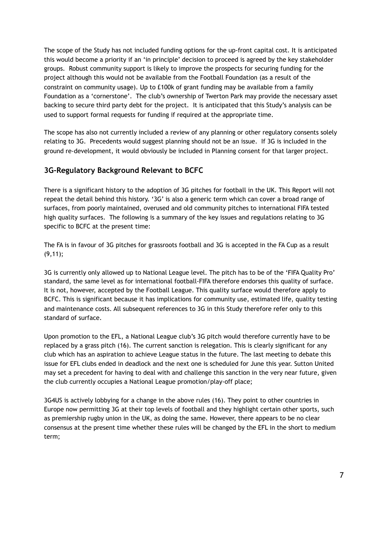The scope of the Study has not included funding options for the up-front capital cost. It is anticipated this would become a priority if an 'in principle' decision to proceed is agreed by the key stakeholder groups. Robust community support is likely to improve the prospects for securing funding for the project although this would not be available from the Football Foundation (as a result of the constraint on community usage). Up to £100k of grant funding may be available from a family Foundation as a 'cornerstone'. The club's ownership of Twerton Park may provide the necessary asset backing to secure third party debt for the project. It is anticipated that this Study's analysis can be used to support formal requests for funding if required at the appropriate time.

The scope has also not currently included a review of any planning or other regulatory consents solely relating to 3G. Precedents would suggest planning should not be an issue. If 3G is included in the ground re-development, it would obviously be included in Planning consent for that larger project.

## **3G-Regulatory Background Relevant to BCFC**

There is a significant history to the adoption of 3G pitches for football in the UK. This Report will not repeat the detail behind this history. '3G' is also a generic term which can cover a broad range of surfaces, from poorly maintained, overused and old community pitches to international FIFA tested high quality surfaces. The following is a summary of the key issues and regulations relating to 3G specific to BCFC at the present time:

The FA is in favour of 3G pitches for grassroots football and 3G is accepted in the FA Cup as a result (9,11);

3G is currently only allowed up to National League level. The pitch has to be of the 'FIFA Quality Pro' standard, the same level as for international football-FIFA therefore endorses this quality of surface. It is not, however, accepted by the Football League. This quality surface would therefore apply to BCFC. This is significant because it has implications for community use, estimated life, quality testing and maintenance costs. All subsequent references to 3G in this Study therefore refer only to this standard of surface.

Upon promotion to the EFL, a National League club's 3G pitch would therefore currently have to be replaced by a grass pitch (16). The current sanction is relegation. This is clearly significant for any club which has an aspiration to achieve League status in the future. The last meeting to debate this issue for EFL clubs ended in deadlock and the next one is scheduled for June this year. Sutton United may set a precedent for having to deal with and challenge this sanction in the very near future, given the club currently occupies a National League promotion/play-off place;

3G4US is actively lobbying for a change in the above rules (16). They point to other countries in Europe now permitting 3G at their top levels of football and they highlight certain other sports, such as premiership rugby union in the UK, as doing the same. However, there appears to be no clear consensus at the present time whether these rules will be changed by the EFL in the short to medium term;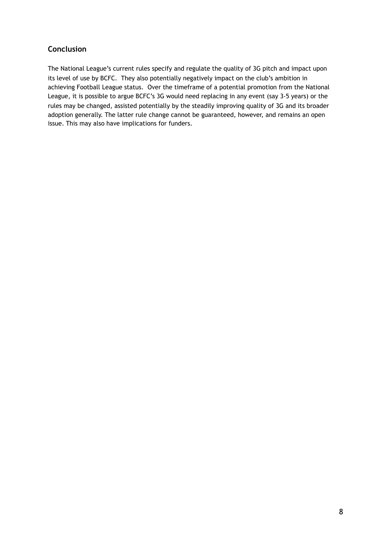## **Conclusion**

The National League's current rules specify and regulate the quality of 3G pitch and impact upon its level of use by BCFC. They also potentially negatively impact on the club's ambition in achieving Football League status. Over the timeframe of a potential promotion from the National League, it is possible to argue BCFC's 3G would need replacing in any event (say 3-5 years) or the rules may be changed, assisted potentially by the steadily improving quality of 3G and its broader adoption generally. The latter rule change cannot be guaranteed, however, and remains an open issue. This may also have implications for funders.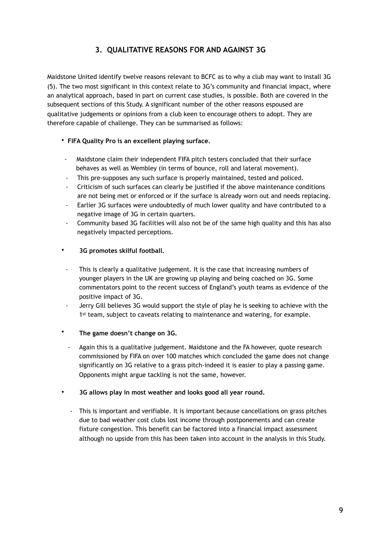## **3. QUALITATIVE REASONS FOR AND AGAINST 3G**

Maidstone United identify twelve reasons relevant to BCFC as to why a club may want to install 3G (5). The two most significant in this context relate to 3G's community and financial impact, where an analytical approach, based in part on current case studies, is possible. Both are covered in the subsequent sections of this Study. A significant number of the other reasons espoused are qualitative judgements or opinions from a club keen to encourage others to adopt. They are therefore capable of challenge. They can be summarised as follows:

#### • **FIFA Quality Pro is an excellent playing surface.**

- -Maidstone claim their independent FIFA pitch testers concluded that their surface behaves as well as Wembley (in terms of bounce, roll and lateral movement).
- This pre-supposes any such surface is properly maintained, tested and policed.
- Criticism of such surfaces can clearly be justified if the above maintenance conditions are not being met or enforced or if the surface is already worn out and needs replacing.
- Earlier 3G surfaces were undoubtedly of much lower quality and have contributed to a negative image of 3G in certain quarters.
- Community based 3G facilities will also not be of the same high quality and this has also negatively impacted perceptions.

#### • **3G promotes skilful football.**

- This is clearly a qualitative judgement. It is the case that increasing numbers of younger players in the UK are growing up playing and being coached on 3G. Some commentators point to the recent success of England's youth teams as evidence of the positive impact of 3G.
- Jerry Gill believes 3G would support the style of play he is seeking to achieve with the 1st team, subject to caveats relating to maintenance and watering, for example.

#### • **The game doesn't change on 3G.**

- Again this is a qualitative judgement. Maidstone and the FA however, quote research commissioned by FIFA on over 100 matches which concluded the game does not change significantly on 3G relative to a grass pitch-indeed it is easier to play a passing game. Opponents might argue tackling is not the same, however.

#### • **3G allows play in most weather and looks good all year round.**

- This is important and verifiable. It is important because cancellations on grass pitches due to bad weather cost clubs lost income through postponements and can create fixture congestion. This benefit can be factored into a financial impact assessment although no upside from this has been taken into account in the analysis in this Study.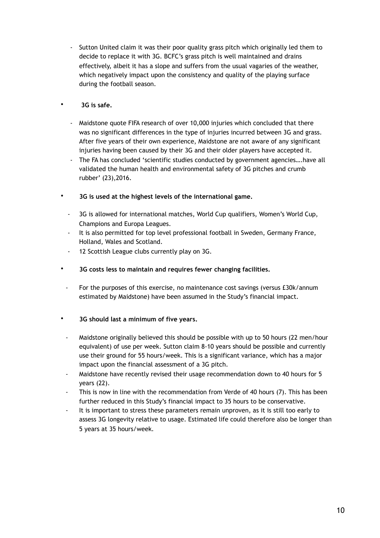- Sutton United claim it was their poor quality grass pitch which originally led them to decide to replace it with 3G. BCFC's grass pitch is well maintained and drains effectively, albeit it has a slope and suffers from the usual vagaries of the weather, which negatively impact upon the consistency and quality of the playing surface during the football season.

#### • **3G is safe.**

- Maidstone quote FIFA research of over 10,000 injuries which concluded that there was no significant differences in the type of injuries incurred between 3G and grass. After five years of their own experience, Maidstone are not aware of any significant injuries having been caused by their 3G and their older players have accepted it.
- The FA has concluded 'scientific studies conducted by government agencies….have all validated the human health and environmental safety of 3G pitches and crumb rubber' (23),2016.
- • **3G is used at the highest levels of the international game.** 
	- 3G is allowed for international matches, World Cup qualifiers, Women's World Cup, Champions and Europa Leagues.
	- It is also permitted for top level professional football in Sweden, Germany France, Holland, Wales and Scotland.
	- 12 Scottish League clubs currently play on 3G.
- • **3G costs less to maintain and requires fewer changing facilities.**
- For the purposes of this exercise, no maintenance cost savings (versus £30k/annum estimated by Maidstone) have been assumed in the Study's financial impact.

#### • **3G should last a minimum of five years.**

- Maidstone originally believed this should be possible with up to 50 hours (22 men/hour equivalent) of use per week. Sutton claim 8-10 years should be possible and currently use their ground for 55 hours/week. This is a significant variance, which has a major impact upon the financial assessment of a 3G pitch.
- Maidstone have recently revised their usage recommendation down to 40 hours for 5 years (22).
- This is now in line with the recommendation from Verde of 40 hours (7). This has been further reduced in this Study's financial impact to 35 hours to be conservative.
- It is important to stress these parameters remain unproven, as it is still too early to assess 3G longevity relative to usage. Estimated life could therefore also be longer than 5 years at 35 hours/week.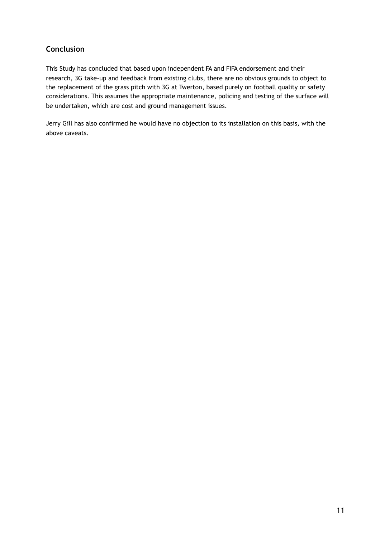## **Conclusion**

This Study has concluded that based upon independent FA and FIFA endorsement and their research, 3G take-up and feedback from existing clubs, there are no obvious grounds to object to the replacement of the grass pitch with 3G at Twerton, based purely on football quality or safety considerations. This assumes the appropriate maintenance, policing and testing of the surface will be undertaken, which are cost and ground management issues.

Jerry Gill has also confirmed he would have no objection to its installation on this basis, with the above caveats.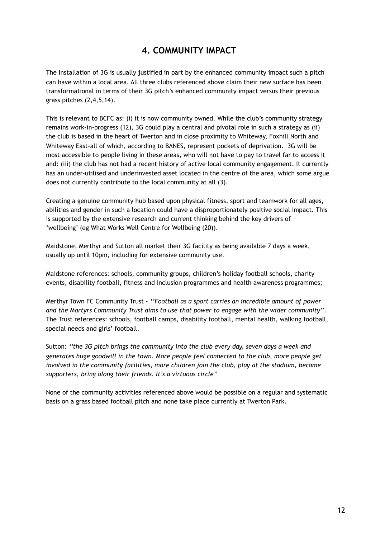## **4. COMMUNITY IMPACT**

The installation of 3G is usually justified in part by the enhanced community impact such a pitch can have within a local area. All three clubs referenced above claim their new surface has been transformational in terms of their 3G pitch's enhanced community impact versus their previous grass pitches (2,4,5,14).

This is relevant to BCFC as: (i) it is now community owned. While the club's community strategy remains work-in-progress (12), 3G could play a central and pivotal role in such a strategy as (ii) the club is based in the heart of Twerton and in close proximity to Whiteway, Foxhill North and Whiteway East-all of which, according to BANES, represent pockets of deprivation. 3G will be most accessible to people living in these areas, who will not have to pay to travel far to access it and: (iii) the club has not had a recent history of active local community engagement. It currently has an under-utilised and underinvested asset located in the centre of the area, which some argue does not currently contribute to the local community at all (3).

Creating a genuine community hub based upon physical fitness, sport and teamwork for all ages, abilities and gender in such a location could have a disproportionately positive social impact. This is supported by the extensive research and current thinking behind the key drivers of 'wellbeing' (eg What Works Well Centre for Wellbeing (20)).

Maidstone, Merthyr and Sutton all market their 3G facility as being available 7 days a week, usually up until 10pm, including for extensive community use.

Maidstone references: schools, community groups, children's holiday football schools, charity events, disability football, fitness and inclusion programmes and health awareness programmes;

Merthyr Town FC Community Trust - *''Football as a sport carries an incredible amount of power and the Martyrs Community Trust aims to use that power to engage with the wider community''*. The Trust references: schools, football camps, disability football, mental health, walking football, special needs and girls' football.

Sutton: *''the 3G pitch brings the community into the club every day, seven days a week and generates huge goodwill in the town. More people feel connected to the club, more people get involved in the community facilities, more children join the club, play at the stadium, become supporters, bring along their friends. It's a virtuous circle''*

None of the community activities referenced above would be possible on a regular and systematic basis on a grass based football pitch and none take place currently at Twerton Park.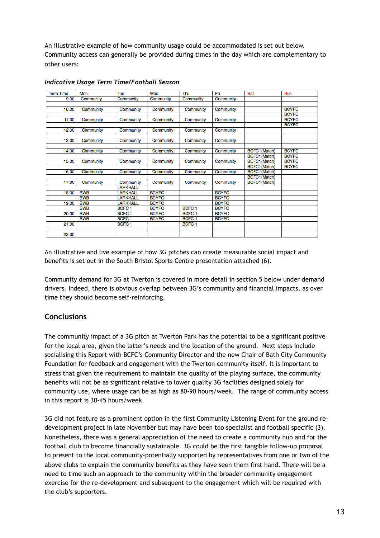An illustrative example of how community usage could be accommodated is set out below. Community access can generally be provided during times in the day which are complementary to other users:

| <b>Term Time</b> | Mon        | Tue               | Wed          | Thu               | Fri          | Sat                 | Sun          |
|------------------|------------|-------------------|--------------|-------------------|--------------|---------------------|--------------|
| 9.00             | Community  | Community         | Community    | Community         | Community    |                     |              |
|                  |            |                   |              |                   |              |                     |              |
| 10.00            | Community  | Community         | Community    | Community         | Community    |                     | <b>BCYFC</b> |
|                  |            |                   |              |                   |              |                     | <b>BCYFC</b> |
| 11.00            | Community  | Community         | Community    | Community         | Community    |                     | <b>BCYFC</b> |
|                  |            |                   |              |                   |              |                     | <b>BCYFC</b> |
| 12.00            | Community  | Community         | Community    | Community         | Community    |                     |              |
|                  |            |                   |              |                   |              |                     |              |
| 13.00            | Community  | Community         | Community    | Community         | Community    |                     |              |
|                  |            |                   |              |                   |              |                     |              |
| 14.00            | Community  | Community         | Community    | Community         | Community    | <b>BCFC1(Match)</b> | <b>BCYFC</b> |
|                  |            |                   |              |                   |              | BCFC1(Match)        | <b>BCYFC</b> |
| 15.00            | Community  | Community         | Community    | Community         | Community    | BCFC1 (Match)       | <b>BCYFC</b> |
|                  |            |                   |              |                   |              | BCFC1(Match)        | <b>BCYFC</b> |
| 16.00            | Community  | Community         | Community    | Community         | Community    | BCFC1(Match)        |              |
|                  |            |                   |              |                   |              | BCFC1(Match)        |              |
| 17.00            | Community  | Community         | Community    | Community         | Community    | BCFC1(Match)        |              |
|                  |            | <b>LARKHALL</b>   |              |                   |              |                     |              |
| 18.00            | <b>BWB</b> | <b>LARKHALL</b>   | <b>BCYFC</b> |                   | <b>BCYFC</b> |                     |              |
|                  | <b>BWB</b> | <b>LARKHALL</b>   | <b>BCYFC</b> |                   | <b>BCYFC</b> |                     |              |
| 19.00            | <b>BWB</b> | <b>LARKHALL</b>   | <b>BCYFC</b> |                   | <b>BCYFC</b> |                     |              |
|                  | <b>BWB</b> | BCFC <sub>1</sub> | <b>BCYFC</b> | BCFC <sub>1</sub> | <b>BCYFC</b> |                     |              |
| 20.00            | <b>BWB</b> | BCFC <sub>1</sub> | <b>BCYFC</b> | BCFC <sub>1</sub> | <b>BCYFC</b> |                     |              |
|                  | <b>BWB</b> | BCFC <sub>1</sub> | <b>BCYFC</b> | BCFC <sub>1</sub> | <b>BCYFC</b> |                     |              |
| 21.00            |            | BCFC <sub>1</sub> |              | BCFC <sub>1</sub> |              |                     |              |
|                  |            |                   |              |                   |              |                     |              |
| 22.00            |            |                   |              |                   |              |                     |              |

#### *Indicative Usage Term Time/Football Season*

An illustrative and live example of how 3G pitches can create measurable social impact and benefits is set out in the South Bristol Sports Centre presentation attached (6).

Community demand for 3G at Twerton is covered in more detail in section 5 below under demand drivers. Indeed, there is obvious overlap between 3G's community and financial impacts, as over time they should become self-reinforcing.

#### **Conclusions**

The community impact of a 3G pitch at Twerton Park has the potential to be a significant positive for the local area, given the latter's needs and the location of the ground. Next steps include socialising this Report with BCFC's Community Director and the new Chair of Bath City Community Foundation for feedback and engagement with the Twerton community itself. It is important to stress that given the requirement to maintain the quality of the playing surface, the community benefits will not be as significant relative to lower quality 3G facilities designed solely for community use, where usage can be as high as 80-90 hours/week. The range of community access in this report is 30-45 hours/week.

3G did not feature as a prominent option in the first Community Listening Event for the ground redevelopment project in late November but may have been too specialist and football specific (3). Nonetheless, there was a general appreciation of the need to create a community hub and for the football club to become financially sustainable. 3G could be the first tangible follow-up proposal to present to the local community-potentially supported by representatives from one or two of the above clubs to explain the community benefits as they have seen them first hand. There will be a need to time such an approach to the community within the broader community engagement exercise for the re-development and subsequent to the engagement which will be required with the club's supporters.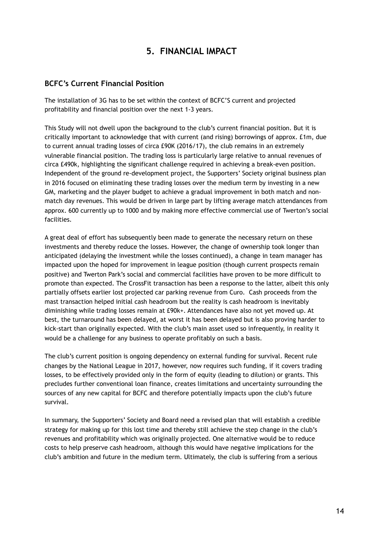## **5. FINANCIAL IMPACT**

#### **BCFC's Current Financial Position**

The installation of 3G has to be set within the context of BCFC'S current and projected profitability and financial position over the next 1-3 years.

This Study will not dwell upon the background to the club's current financial position. But it is critically important to acknowledge that with current (and rising) borrowings of approx. £1m, due to current annual trading losses of circa £90K (2016/17), the club remains in an extremely vulnerable financial position. The trading loss is particularly large relative to annual revenues of circa £490k, highlighting the significant challenge required in achieving a break-even position. Independent of the ground re-development project, the Supporters' Society original business plan in 2016 focused on eliminating these trading losses over the medium term by investing in a new GM, marketing and the player budget to achieve a gradual improvement in both match and nonmatch day revenues. This would be driven in large part by lifting average match attendances from approx. 600 currently up to 1000 and by making more effective commercial use of Twerton's social facilities.

A great deal of effort has subsequently been made to generate the necessary return on these investments and thereby reduce the losses. However, the change of ownership took longer than anticipated (delaying the investment while the losses continued), a change in team manager has impacted upon the hoped for improvement in league position (though current prospects remain positive) and Twerton Park's social and commercial facilities have proven to be more difficult to promote than expected. The CrossFit transaction has been a response to the latter, albeit this only partially offsets earlier lost projected car parking revenue from Curo. Cash proceeds from the mast transaction helped initial cash headroom but the reality is cash headroom is inevitably diminishing while trading losses remain at £90k+. Attendances have also not yet moved up. At best, the turnaround has been delayed, at worst it has been delayed but is also proving harder to kick-start than originally expected. With the club's main asset used so infrequently, in reality it would be a challenge for any business to operate profitably on such a basis.

The club's current position is ongoing dependency on external funding for survival. Recent rule changes by the National League in 2017, however, now requires such funding, if it covers trading losses, to be effectively provided only in the form of equity (leading to dilution) or grants. This precludes further conventional loan finance, creates limitations and uncertainty surrounding the sources of any new capital for BCFC and therefore potentially impacts upon the club's future survival.

In summary, the Supporters' Society and Board need a revised plan that will establish a credible strategy for making up for this lost time and thereby still achieve the step change in the club's revenues and profitability which was originally projected. One alternative would be to reduce costs to help preserve cash headroom, although this would have negative implications for the club's ambition and future in the medium term. Ultimately, the club is suffering from a serious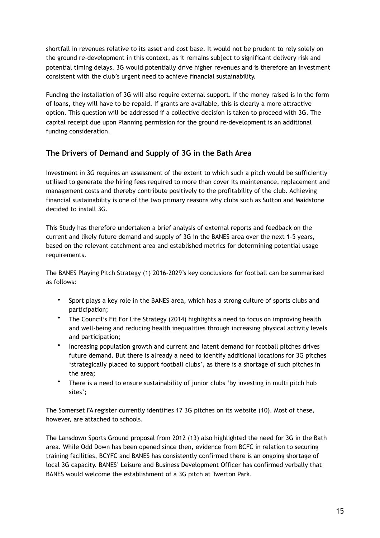shortfall in revenues relative to its asset and cost base. It would not be prudent to rely solely on the ground re-development in this context, as it remains subject to significant delivery risk and potential timing delays. 3G would potentially drive higher revenues and is therefore an investment consistent with the club's urgent need to achieve financial sustainability.

Funding the installation of 3G will also require external support. If the money raised is in the form of loans, they will have to be repaid. If grants are available, this is clearly a more attractive option. This question will be addressed if a collective decision is taken to proceed with 3G. The capital receipt due upon Planning permission for the ground re-development is an additional funding consideration.

## **The Drivers of Demand and Supply of 3G in the Bath Area**

Investment in 3G requires an assessment of the extent to which such a pitch would be sufficiently utilised to generate the hiring fees required to more than cover its maintenance, replacement and management costs and thereby contribute positively to the profitability of the club. Achieving financial sustainability is one of the two primary reasons why clubs such as Sutton and Maidstone decided to install 3G.

This Study has therefore undertaken a brief analysis of external reports and feedback on the current and likely future demand and supply of 3G in the BANES area over the next 1-5 years, based on the relevant catchment area and established metrics for determining potential usage requirements.

The BANES Playing Pitch Strategy (1) 2016-2029's key conclusions for football can be summarised as follows:

- Sport plays a key role in the BANES area, which has a strong culture of sports clubs and participation;
- The Council's Fit For Life Strategy (2014) highlights a need to focus on improving health and well-being and reducing health inequalities through increasing physical activity levels and participation;
- Increasing population growth and current and latent demand for football pitches drives future demand. But there is already a need to identify additional locations for 3G pitches 'strategically placed to support football clubs', as there is a shortage of such pitches in the area;
- There is a need to ensure sustainability of junior clubs 'by investing in multi pitch hub sites';

The Somerset FA register currently identifies 17 3G pitches on its website (10). Most of these, however, are attached to schools.

The Lansdown Sports Ground proposal from 2012 (13) also highlighted the need for 3G in the Bath area. While Odd Down has been opened since then, evidence from BCFC in relation to securing training facilities, BCYFC and BANES has consistently confirmed there is an ongoing shortage of local 3G capacity. BANES' Leisure and Business Development Officer has confirmed verbally that BANES would welcome the establishment of a 3G pitch at Twerton Park.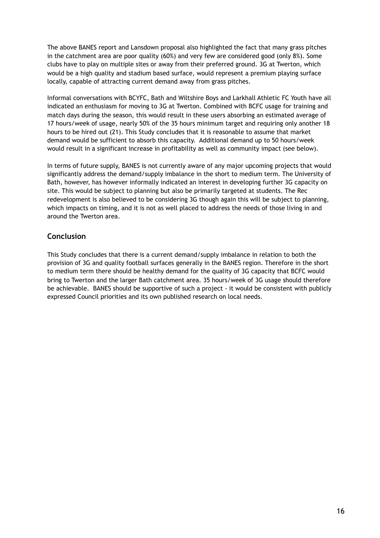The above BANES report and Lansdown proposal also highlighted the fact that many grass pitches in the catchment area are poor quality (60%) and very few are considered good (only 8%). Some clubs have to play on multiple sites or away from their preferred ground. 3G at Twerton, which would be a high quality and stadium based surface, would represent a premium playing surface locally, capable of attracting current demand away from grass pitches.

Informal conversations with BCYFC, Bath and Wiltshire Boys and Larkhall Athletic FC Youth have all indicated an enthusiasm for moving to 3G at Twerton. Combined with BCFC usage for training and match days during the season, this would result in these users absorbing an estimated average of 17 hours/week of usage, nearly 50% of the 35 hours minimum target and requiring only another 18 hours to be hired out (21). This Study concludes that it is reasonable to assume that market demand would be sufficient to absorb this capacity. Additional demand up to 50 hours/week would result in a significant increase in profitability as well as community impact (see below).

In terms of future supply, BANES is not currently aware of any major upcoming projects that would significantly address the demand/supply imbalance in the short to medium term. The University of Bath, however, has however informally indicated an interest in developing further 3G capacity on site. This would be subject to planning but also be primarily targeted at students. The Rec redevelopment is also believed to be considering 3G though again this will be subject to planning, which impacts on timing, and it is not as well placed to address the needs of those living in and around the Twerton area.

#### **Conclusion**

This Study concludes that there is a current demand/supply imbalance in relation to both the provision of 3G and quality football surfaces generally in the BANES region. Therefore in the short to medium term there should be healthy demand for the quality of 3G capacity that BCFC would bring to Twerton and the larger Bath catchment area. 35 hours/week of 3G usage should therefore be achievable. BANES should be supportive of such a project - it would be consistent with publicly expressed Council priorities and its own published research on local needs.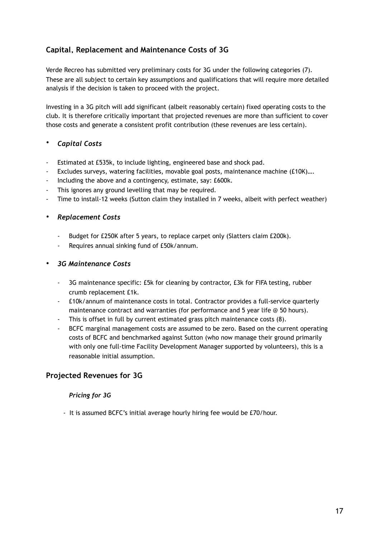## **Capital, Replacement and Maintenance Costs of 3G**

Verde Recreo has submitted very preliminary costs for 3G under the following categories (7). These are all subject to certain key assumptions and qualifications that will require more detailed analysis if the decision is taken to proceed with the project.

Investing in a 3G pitch will add significant (albeit reasonably certain) fixed operating costs to the club. It is therefore critically important that projected revenues are more than sufficient to cover those costs and generate a consistent profit contribution (these revenues are less certain).

#### • *Capital Costs*

- Estimated at £535k, to include lighting, engineered base and shock pad.
- Excludes surveys, watering facilities, movable goal posts, maintenance machine (£10K)....
- Including the above and a contingency, estimate, say: £600k.
- This ignores any ground levelling that may be required.
- Time to install-12 weeks (Sutton claim they installed in 7 weeks, albeit with perfect weather)

#### • *Replacement Costs*

- Budget for £250K after 5 years, to replace carpet only (Slatters claim £200k).
- Requires annual sinking fund of £50k/annum.

#### • *3G Maintenance Costs*

- 3G maintenance specific: £5k for cleaning by contractor, £3k for FIFA testing, rubber crumb replacement £1k.
- £10k/annum of maintenance costs in total. Contractor provides a full-service quarterly maintenance contract and warranties (for performance and 5 year life @ 50 hours).
- This is offset in full by current estimated grass pitch maintenance costs (8).
- BCFC marginal management costs are assumed to be zero. Based on the current operating costs of BCFC and benchmarked against Sutton (who now manage their ground primarily with only one full-time Facility Development Manager supported by volunteers), this is a reasonable initial assumption.

#### **Projected Revenues for 3G**

#### *Pricing for 3G*

- It is assumed BCFC's initial average hourly hiring fee would be £70/hour.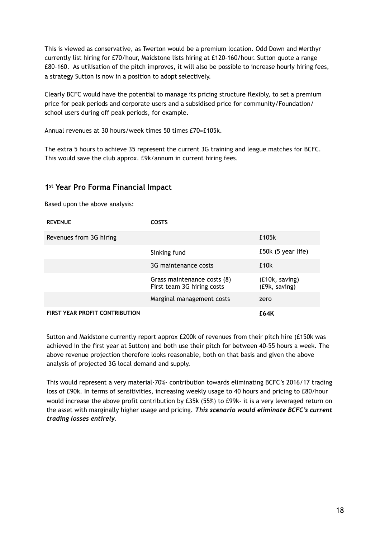This is viewed as conservative, as Twerton would be a premium location. Odd Down and Merthyr currently list hiring for £70/hour, Maidstone lists hiring at £120-160/hour. Sutton quote a range £80-160. As utilisation of the pitch improves, it will also be possible to increase hourly hiring fees, a strategy Sutton is now in a position to adopt selectively.

Clearly BCFC would have the potential to manage its pricing structure flexibly, to set a premium price for peak periods and corporate users and a subsidised price for community/Foundation/ school users during off peak periods, for example.

Annual revenues at 30 hours/week times 50 times £70=£105k.

The extra 5 hours to achieve 35 represent the current 3G training and league matches for BCFC. This would save the club approx. £9k/annum in current hiring fees.

#### **1st Year Pro Forma Financial Impact**

Based upon the above analysis:

| <b>REVENUE</b>                        | <b>COSTS</b>                                              |                                 |
|---------------------------------------|-----------------------------------------------------------|---------------------------------|
| Revenues from 3G hiring               |                                                           | £105k                           |
|                                       | Sinking fund                                              | $£50k$ (5 year life)            |
|                                       | 3G maintenance costs                                      | £10 <sub>k</sub>                |
|                                       | Grass maintenance costs (8)<br>First team 3G hiring costs | (£10k, saving)<br>(£9k, saving) |
|                                       | Marginal management costs                                 | zero                            |
| <b>FIRST YEAR PROFIT CONTRIBUTION</b> |                                                           | £64K                            |

Sutton and Maidstone currently report approx £200k of revenues from their pitch hire (£150k was achieved in the first year at Sutton) and both use their pitch for between 40-55 hours a week. The above revenue projection therefore looks reasonable, both on that basis and given the above analysis of projected 3G local demand and supply.

This would represent a very material-70%- contribution towards eliminating BCFC's 2016/17 trading loss of £90k. In terms of sensitivities, increasing weekly usage to 40 hours and pricing to £80/hour would increase the above profit contribution by £35k (55%) to £99k- it is a very leveraged return on the asset with marginally higher usage and pricing. *This scenario would eliminate BCFC's current trading losses entirely.*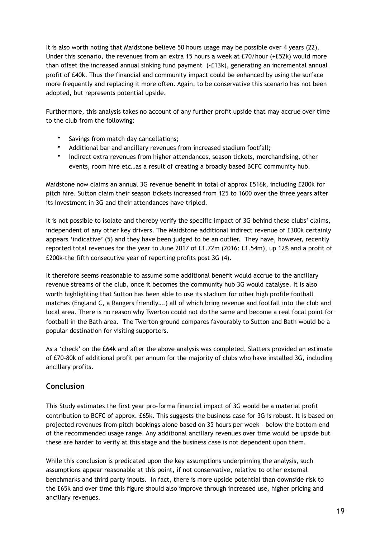It is also worth noting that Maidstone believe 50 hours usage may be possible over 4 years (22). Under this scenario, the revenues from an extra 15 hours a week at £70/hour (+£52k) would more than offset the increased annual sinking fund payment (-£13k), generating an incremental annual profit of £40k. Thus the financial and community impact could be enhanced by using the surface more frequently and replacing it more often. Again, to be conservative this scenario has not been adopted, but represents potential upside.

Furthermore, this analysis takes no account of any further profit upside that may accrue over time to the club from the following:

- Savings from match day cancellations;
- Additional bar and ancillary revenues from increased stadium footfall;
- Indirect extra revenues from higher attendances, season tickets, merchandising, other events, room hire etc…as a result of creating a broadly based BCFC community hub.

Maidstone now claims an annual 3G revenue benefit in total of approx £516k, including £200k for pitch hire. Sutton claim their season tickets increased from 125 to 1600 over the three years after its investment in 3G and their attendances have tripled.

It is not possible to isolate and thereby verify the specific impact of 3G behind these clubs' claims, independent of any other key drivers. The Maidstone additional indirect revenue of £300k certainly appears 'indicative' (5) and they have been judged to be an outlier. They have, however, recently reported total revenues for the year to June 2017 of £1.72m (2016: £1.54m), up 12% and a profit of £200k-the fifth consecutive year of reporting profits post 3G (4).

It therefore seems reasonable to assume some additional benefit would accrue to the ancillary revenue streams of the club, once it becomes the community hub 3G would catalyse. It is also worth highlighting that Sutton has been able to use its stadium for other high profile football matches (England C, a Rangers friendly….) all of which bring revenue and footfall into the club and local area. There is no reason why Twerton could not do the same and become a real focal point for football in the Bath area. The Twerton ground compares favourably to Sutton and Bath would be a popular destination for visiting supporters.

As a 'check' on the £64k and after the above analysis was completed, Slatters provided an estimate of £70-80k of additional profit per annum for the majority of clubs who have installed 3G, including ancillary profits.

#### **Conclusion**

This Study estimates the first year pro-forma financial impact of 3G would be a material profit contribution to BCFC of approx. £65k. This suggests the business case for 3G is robust. It is based on projected revenues from pitch bookings alone based on 35 hours per week - below the bottom end of the recommended usage range. Any additional ancillary revenues over time would be upside but these are harder to verify at this stage and the business case is not dependent upon them.

While this conclusion is predicated upon the key assumptions underpinning the analysis, such assumptions appear reasonable at this point, if not conservative, relative to other external benchmarks and third party inputs. In fact, there is more upside potential than downside risk to the £65k and over time this figure should also improve through increased use, higher pricing and ancillary revenues.